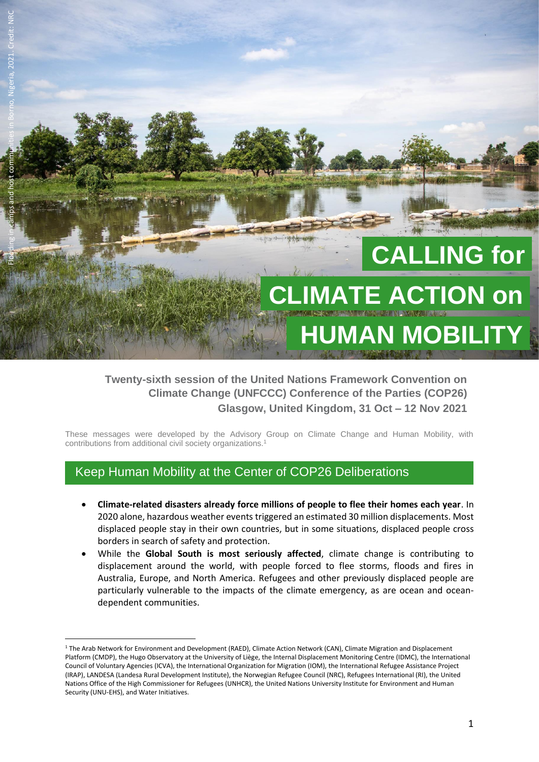

## **Twenty-sixth session of the United Nations Framework Convention on Climate Change (UNFCCC) Conference of the Parties (COP26) Glasgow, United Kingdom, 31 Oct – 12 Nov 2021**

These messages were developed by the Advisory Group on Climate Change and Human Mobility, with contributions from additional civil society organizations.<sup>1</sup>

# Keep Human Mobility at the Center of COP26 Deliberations

- **Climate-related disasters already force millions of people to flee their homes each year**. In 2020 alone, hazardous weather events triggered an estimated 30 million displacements. Most displaced people stay in their own countries, but in some situations, displaced people cross borders in search of safety and protection.
- While the **Global South is most seriously affected**, climate change is contributing to displacement around the world, with people forced to flee storms, floods and fires in Australia, Europe, and North America. Refugees and other previously displaced people are particularly vulnerable to the impacts of the climate emergency, as are ocean and oceandependent communities.

<sup>1</sup> The Arab Network for Environment and Development (RAED), Climate Action Network (CAN), Climate Migration and Displacement Platform (CMDP), the Hugo Observatory at the University of Liège, the Internal Displacement Monitoring Centre (IDMC), the International Council of Voluntary Agencies (ICVA), the International Organization for Migration (IOM), the International Refugee Assistance Project (IRAP), LANDESA (Landesa Rural Development Institute), the Norwegian Refugee Council (NRC), Refugees International (RI), the United Nations Office of the High Commissioner for Refugees (UNHCR), the United Nations University Institute for Environment and Human Security (UNU-EHS), and Water Initiatives.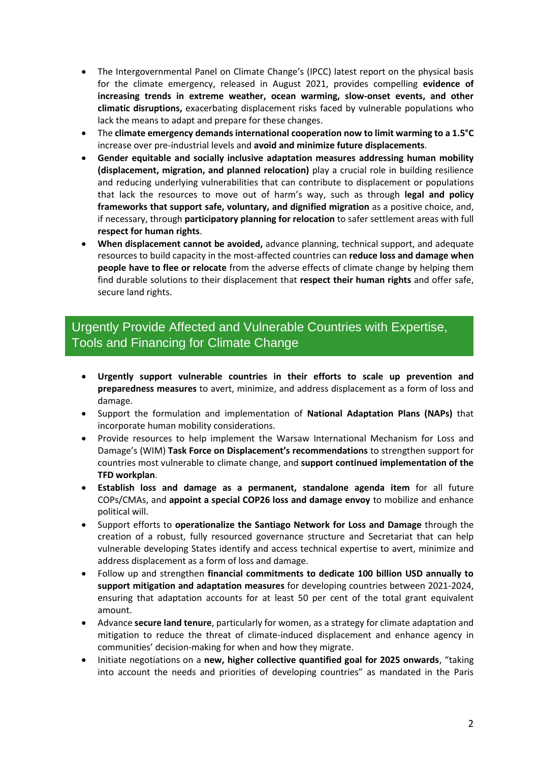- The Intergovernmental Panel on Climate Change's (IPCC) latest report on the physical basis for the climate emergency, released in August 2021, provides compelling **evidence of increasing trends in extreme weather, ocean warming, slow-onset events, and other climatic disruptions,** exacerbating displacement risks faced by vulnerable populations who lack the means to adapt and prepare for these changes.
- The **climate emergency demands international cooperation now to limit warming to a 1.5°C** increase over pre-industrial levels and **avoid and minimize future displacements**.
- **Gender equitable and socially inclusive adaptation measures addressing human mobility (displacement, migration, and planned relocation)** play a crucial role in building resilience and reducing underlying vulnerabilities that can contribute to displacement or populations that lack the resources to move out of harm's way, such as through **legal and policy frameworks that support safe, voluntary, and dignified migration** as a positive choice, and, if necessary, through **participatory planning for relocation** to safer settlement areas with full **respect for human rights**.
- **When displacement cannot be avoided,** advance planning, technical support, and adequate resources to build capacity in the most-affected countries can **reduce loss and damage when people have to flee or relocate** from the adverse effects of climate change by helping them find durable solutions to their displacement that **respect their human rights** and offer safe, secure land rights.

## Change-Related Human M Urgently Provide Affected and Vulnerable Countries with Expertise, Tools and Financing for Climate Change

- **Urgently support vulnerable countries in their efforts to scale up prevention and preparedness measures** to avert, minimize, and address displacement as a form of loss and damage.
- Support the formulation and implementation of **National Adaptation Plans (NAPs)** that incorporate human mobility considerations.
- Provide resources to help implement the Warsaw International Mechanism for Loss and Damage's (WIM) **Task Force on Displacement's recommendations** to strengthen support for countries most vulnerable to climate change, and **support continued implementation of the TFD workplan**.
- **Establish loss and damage as a permanent, standalone agenda item** for all future COPs/CMAs, and **appoint a special COP26 loss and damage envoy** to mobilize and enhance political will.
- Support efforts to **operationalize the Santiago Network for Loss and Damage** through the creation of a robust, fully resourced governance structure and Secretariat that can help vulnerable developing States identify and access technical expertise to avert, minimize and address displacement as a form of loss and damage.
- Follow up and strengthen **financial commitments to dedicate 100 billion USD annually to support mitigation and adaptation measures** for developing countries between 2021-2024, ensuring that adaptation accounts for at least 50 per cent of the total grant equivalent amount.
- Advance **secure land tenure**, particularly for women, as a strategy for climate adaptation and mitigation to reduce the threat of climate-induced displacement and enhance agency in communities' decision-making for when and how they migrate.
- Initiate negotiations on a **new, higher collective quantified goal for 2025 onwards**, "taking into account the needs and priorities of developing countries" as mandated in the Paris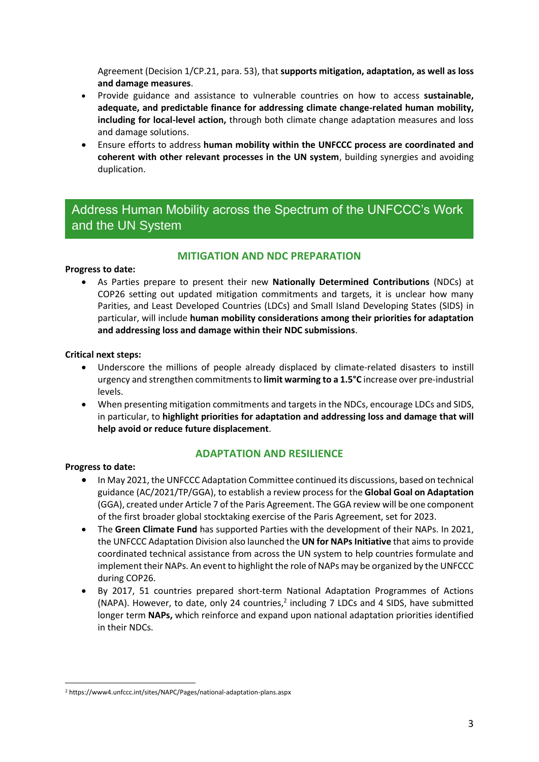Agreement (Decision 1/CP.21, para. 53), that **supports mitigation, adaptation, as well as loss and damage measures**.

- Provide guidance and assistance to vulnerable countries on how to access **sustainable, adequate, and predictable finance for addressing climate change-related human mobility, including for local-level action,** through both climate change adaptation measures and loss and damage solutions.
- Ensure efforts to address **human mobility within the UNFCCC process are coordinated and coherent with other relevant processes in the UN system**, building synergies and avoiding duplication.

# and the UN System Address Human Mobility across the Spectrum of the UNFCCC's Work

## **MITIGATION AND NDC PREPARATION**

## **Progress to date:**

• As Parties prepare to present their new **Nationally Determined Contributions** (NDCs) at COP26 setting out updated mitigation commitments and targets, it is unclear how many Parities, and Least Developed Countries (LDCs) and Small Island Developing States (SIDS) in particular, will include **human mobility considerations among their priorities for adaptation and addressing loss and damage within their NDC submissions**.

#### **Critical next steps:**

- Underscore the millions of people already displaced by climate-related disasters to instill urgency and strengthen commitmentsto **limit warming to a 1.5°C** increase over pre-industrial levels.
- When presenting mitigation commitments and targets in the NDCs, encourage LDCs and SIDS, in particular, to **highlight priorities for adaptation and addressing loss and damage that will help avoid or reduce future displacement**.

## **ADAPTATION AND RESILIENCE**

## **Progress to date:**

- In May 2021, the UNFCCC Adaptation Committee continued its discussions, based on technical guidance (AC/2021/TP/GGA), to establish a review process for the **Global Goal on Adaptation**  (GGA), created under Article 7 of the Paris Agreement. The GGA review will be one component of the first broader global stocktaking exercise of the Paris Agreement, set for 2023.
- The **Green Climate Fund** has supported Parties with the development of their NAPs. In 2021, the UNFCCC Adaptation Division also launched the **UN for NAPsInitiative** that aims to provide coordinated technical assistance from across the UN system to help countries formulate and implement their NAPs. An event to highlight the role of NAPs may be organized by the UNFCCC during COP26.
- By 2017, 51 countries prepared short-term National Adaptation Programmes of Actions (NAPA). However, to date, only 24 countries,<sup>2</sup> including 7 LDCs and 4 SIDS, have submitted longer term **NAPs,** which reinforce and expand upon national adaptation priorities identified in their NDCs.

<sup>2</sup> https://www4.unfccc.int/sites/NAPC/Pages/national-adaptation-plans.aspx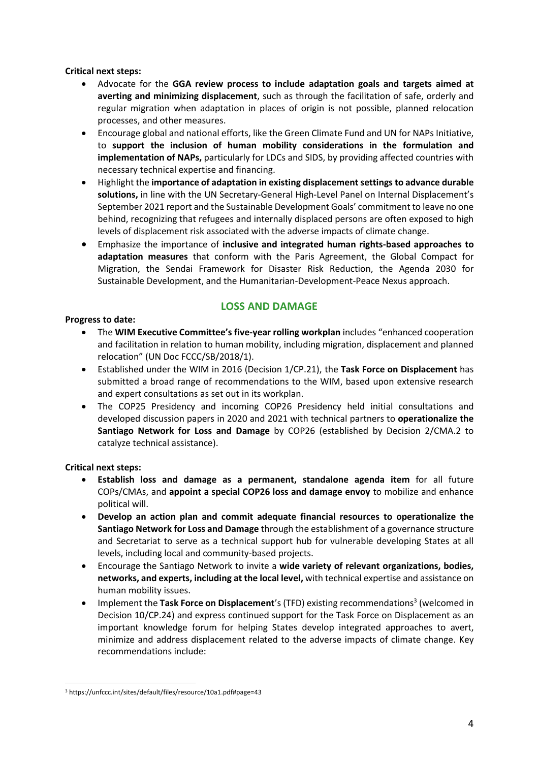**Critical next steps:**

- Advocate for the **GGA review process to include adaptation goals and targets aimed at averting and minimizing displacement**, such as through the facilitation of safe, orderly and regular migration when adaptation in places of origin is not possible, planned relocation processes, and other measures.
- Encourage global and national efforts, like the Green Climate Fund and UN for NAPs Initiative, to **support the inclusion of human mobility considerations in the formulation and implementation of NAPs,** particularly for LDCs and SIDS, by providing affected countries with necessary technical expertise and financing.
- Highlight the **importance of adaptation in existing displacement settings to advance durable solutions,** in line with the UN Secretary-General High-Level Panel on Internal Displacement's September 2021 report and the Sustainable Development Goals' commitment to leave no one behind, recognizing that refugees and internally displaced persons are often exposed to high levels of displacement risk associated with the adverse impacts of climate change.
- Emphasize the importance of **inclusive and integrated human rights-based approaches to adaptation measures** that conform with the Paris Agreement, the Global Compact for Migration, the Sendai Framework for Disaster Risk Reduction, the Agenda 2030 for Sustainable Development, and the Humanitarian-Development-Peace Nexus approach.

## **LOSS AND DAMAGE**

#### **Progress to date:**

- The **WIM Executive Committee's five-year rolling workplan** includes "enhanced cooperation and facilitation in relation to human mobility, including migration, displacement and planned relocation" (UN Doc FCCC/SB/2018/1).
- Established under the WIM in 2016 (Decision 1/CP.21), the **Task Force on Displacement** has submitted a broad range of recommendations to the WIM, based upon extensive research and expert consultations as set out in its workplan.
- The COP25 Presidency and incoming COP26 Presidency held initial consultations and developed discussion papers in 2020 and 2021 with technical partners to **operationalize the Santiago Network for Loss and Damage** by COP26 (established by Decision 2/CMA.2 to catalyze technical assistance).

#### **Critical next steps:**

- **Establish loss and damage as a permanent, standalone agenda item** for all future COPs/CMAs, and **appoint a special COP26 loss and damage envoy** to mobilize and enhance political will.
- **Develop an action plan and commit adequate financial resources to operationalize the Santiago Network for Loss and Damage** through the establishment of a governance structure and Secretariat to serve as a technical support hub for vulnerable developing States at all levels, including local and community-based projects.
- Encourage the Santiago Network to invite a **wide variety of relevant organizations, bodies, networks, and experts, including at the local level,** with technical expertise and assistance on human mobility issues.
- Implement the Task Force on Displacement's (TFD) existing recommendations<sup>3</sup> (welcomed in Decision 10/CP.24) and express continued support for the Task Force on Displacement as an important knowledge forum for helping States develop integrated approaches to avert, minimize and address displacement related to the adverse impacts of climate change. Key recommendations include:

<sup>3</sup> <https://unfccc.int/sites/default/files/resource/10a1.pdf#page=43>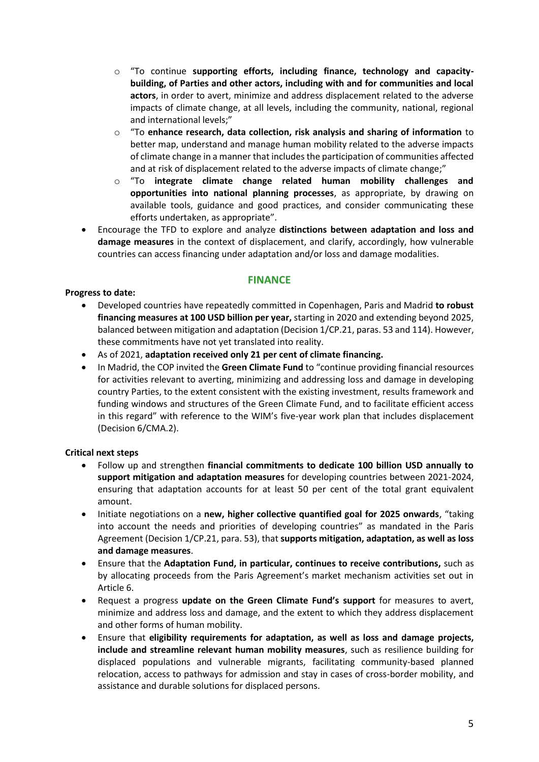- o "To continue **supporting efforts, including finance, technology and capacitybuilding, of Parties and other actors, including with and for communities and local actors**, in order to avert, minimize and address displacement related to the adverse impacts of climate change, at all levels, including the community, national, regional and international levels;"
- o "To **enhance research, data collection, risk analysis and sharing of information** to better map, understand and manage human mobility related to the adverse impacts of climate change in a manner that includes the participation of communities affected and at risk of displacement related to the adverse impacts of climate change;"
- o "To **integrate climate change related human mobility challenges and opportunities into national planning processes**, as appropriate, by drawing on available tools, guidance and good practices, and consider communicating these efforts undertaken, as appropriate".
- Encourage the TFD to explore and analyze **distinctions between adaptation and loss and damage measures** in the context of displacement, and clarify, accordingly, how vulnerable countries can access financing under adaptation and/or loss and damage modalities.

## **FINANCE**

#### **Progress to date:**

- Developed countries have repeatedly committed in Copenhagen, Paris and Madrid **to robust financing measures at 100 USD billion per year,** starting in 2020 and extending beyond 2025, balanced between mitigation and adaptation (Decision 1/CP.21, paras. 53 and 114). However, these commitments have not yet translated into reality.
- As of 2021, **adaptation received only 21 per cent of climate financing.**
- In Madrid, the COP invited the **Green Climate Fund** to "continue providing financial resources for activities relevant to averting, minimizing and addressing loss and damage in developing country Parties, to the extent consistent with the existing investment, results framework and funding windows and structures of the Green Climate Fund, and to facilitate efficient access in this regard" with reference to the WIM's five-year work plan that includes displacement (Decision 6/CMA.2).

## **Critical next steps**

- Follow up and strengthen **financial commitments to dedicate 100 billion USD annually to support mitigation and adaptation measures** for developing countries between 2021-2024, ensuring that adaptation accounts for at least 50 per cent of the total grant equivalent amount.
- Initiate negotiations on a **new, higher collective quantified goal for 2025 onwards**, "taking into account the needs and priorities of developing countries" as mandated in the Paris Agreement (Decision 1/CP.21, para. 53), that **supports mitigation, adaptation, as well as loss and damage measures**.
- Ensure that the **Adaptation Fund, in particular, continues to receive contributions,** such as by allocating proceeds from the Paris Agreement's market mechanism activities set out in Article 6.
- Request a progress **update on the Green Climate Fund's support** for measures to avert, minimize and address loss and damage, and the extent to which they address displacement and other forms of human mobility.
- Ensure that **eligibility requirements for adaptation, as well as loss and damage projects, include and streamline relevant human mobility measures**, such as resilience building for displaced populations and vulnerable migrants, facilitating community-based planned relocation, access to pathways for admission and stay in cases of cross-border mobility, and assistance and durable solutions for displaced persons.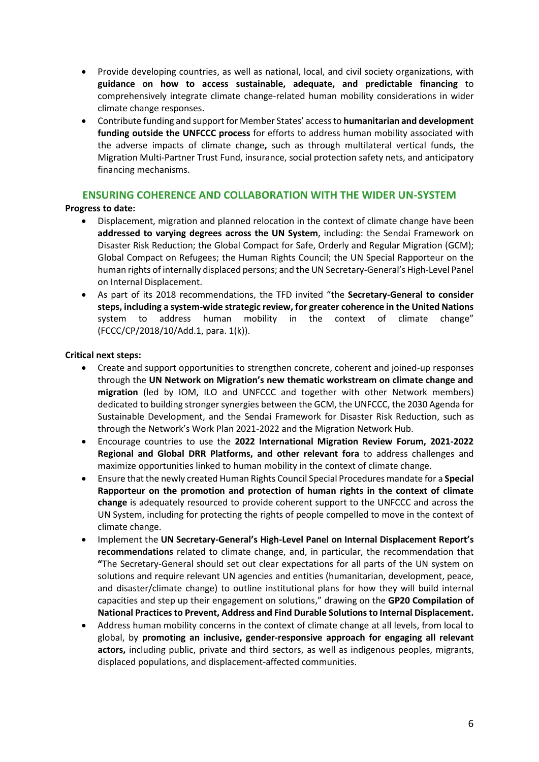- Provide developing countries, as well as national, local, and civil society organizations, with **guidance on how to access sustainable, adequate, and predictable financing** to comprehensively integrate climate change-related human mobility considerations in wider climate change responses.
- Contribute funding and support for Member States' accessto **humanitarian and development funding outside the UNFCCC process** for efforts to address human mobility associated with the adverse impacts of climate change**,** such as through multilateral vertical funds, the Migration Multi-Partner Trust Fund, insurance, social protection safety nets, and anticipatory financing mechanisms.

#### **ENSURING COHERENCE AND COLLABORATION WITH THE WIDER UN-SYSTEM**

#### **Progress to date:**

- Displacement, migration and planned relocation in the context of climate change have been **addressed to varying degrees across the UN System**, including: the Sendai Framework on Disaster Risk Reduction; the Global Compact for Safe, Orderly and Regular Migration (GCM); Global Compact on Refugees; the Human Rights Council; the UN Special Rapporteur on the human rights of internally displaced persons; and the UN Secretary-General's High-Level Panel on Internal Displacement.
- As part of its 2018 recommendations, the TFD invited "the **Secretary-General to consider steps, including a system-wide strategic review, for greater coherence in the United Nations** system to address human mobility in the context of climate change" (FCCC/CP/2018/10/Add.1, para. 1(k)).

#### **Critical next steps:**

- Create and support opportunities to strengthen concrete, coherent and joined-up responses through the **UN Network on Migration's new thematic workstream on climate change and migration** (led by IOM, ILO and UNFCCC and together with other Network members) dedicated to building stronger synergies between the GCM, the UNFCCC, the 2030 Agenda for Sustainable Development, and the Sendai Framework for Disaster Risk Reduction, such as through the Network's Work Plan 2021-2022 and the Migration Network Hub.
- Encourage countries to use the **2022 International Migration Review Forum, 2021-2022 Regional and Global DRR Platforms, and other relevant fora** to address challenges and maximize opportunities linked to human mobility in the context of climate change.
- Ensure that the newly created Human Rights Council Special Procedures mandate for a **Special Rapporteur on the promotion and protection of human rights in the context of climate change** is adequately resourced to provide coherent support to the UNFCCC and across the UN System, including for protecting the rights of people compelled to move in the context of climate change.
- Implement the **UN Secretary-General's High-Level Panel on Internal Displacement Report's recommendations** related to climate change, and, in particular, the recommendation that **"**The Secretary-General should set out clear expectations for all parts of the UN system on solutions and require relevant UN agencies and entities (humanitarian, development, peace, and disaster/climate change) to outline institutional plans for how they will build internal capacities and step up their engagement on solutions," drawing on the **GP20 Compilation of National Practices to Prevent, Address and Find Durable Solutions to Internal Displacement.**
- Address human mobility concerns in the context of climate change at all levels, from local to global, by **promoting an inclusive, gender-responsive approach for engaging all relevant actors,** including public, private and third sectors, as well as indigenous peoples, migrants, displaced populations, and displacement-affected communities.